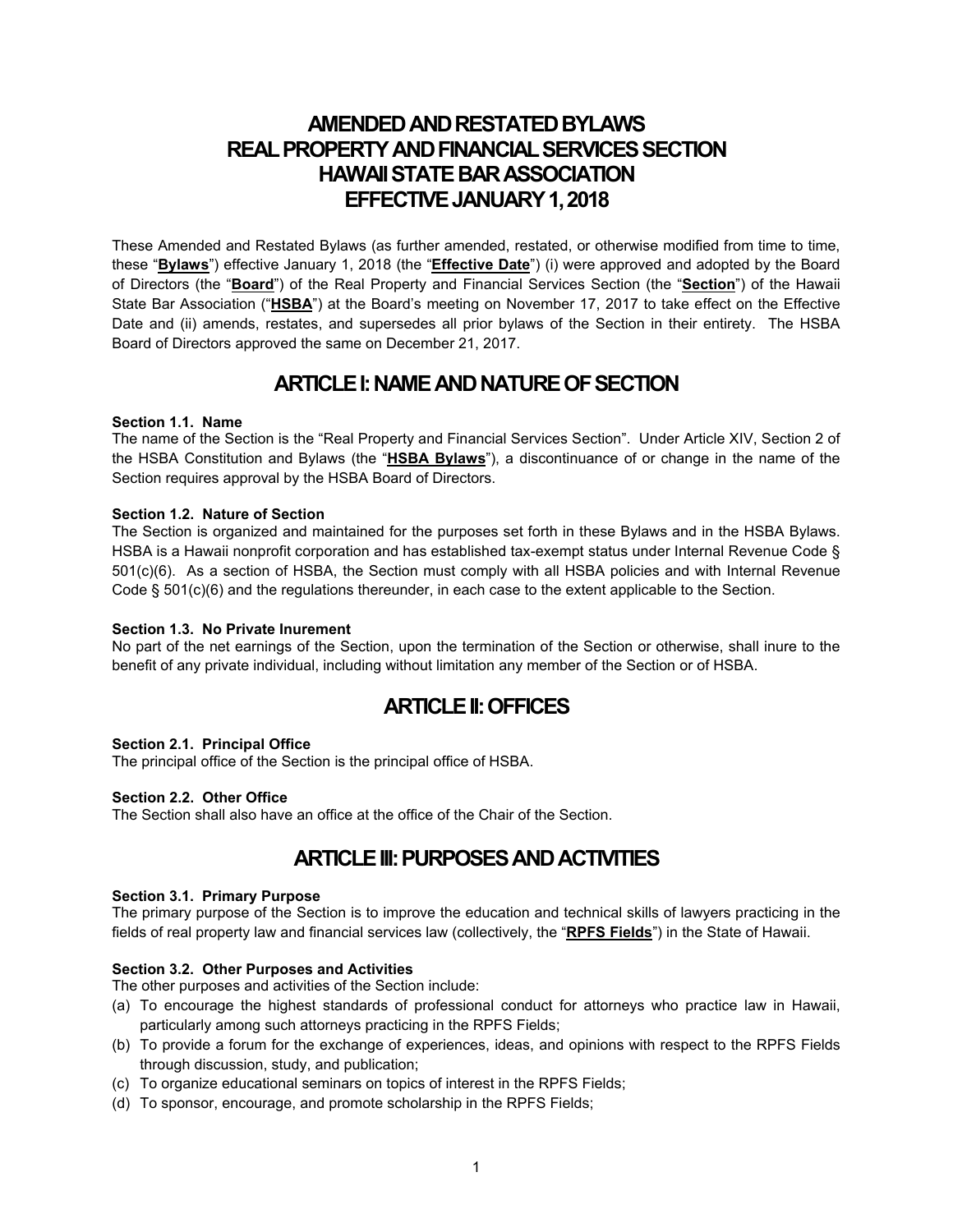# **AMENDED AND RESTATED BYLAWS REAL PROPERTY AND FINANCIAL SERVICES SECTION HAWAII STATE BAR ASSOCIATION EFFECTIVE JANUARY 1, 2018**

These Amended and Restated Bylaws (as further amended, restated, or otherwise modified from time to time, these "**Bylaws**") effective January 1, 2018 (the "**Effective Date**") (i) were approved and adopted by the Board of Directors (the "**Board**") of the Real Property and Financial Services Section (the "**Section**") of the Hawaii State Bar Association ("**HSBA**") at the Board's meeting on November 17, 2017 to take effect on the Effective Date and (ii) amends, restates, and supersedes all prior bylaws of the Section in their entirety. The HSBA Board of Directors approved the same on December 21, 2017.

# **ARTICLE I: NAME AND NATURE OF SECTION**

# **Section 1.1. Name**

The name of the Section is the "Real Property and Financial Services Section". Under Article XIV, Section 2 of the HSBA Constitution and Bylaws (the "**HSBA Bylaws**"), a discontinuance of or change in the name of the Section requires approval by the HSBA Board of Directors.

## **Section 1.2. Nature of Section**

The Section is organized and maintained for the purposes set forth in these Bylaws and in the HSBA Bylaws. HSBA is a Hawaii nonprofit corporation and has established tax-exempt status under Internal Revenue Code § 501(c)(6). As a section of HSBA, the Section must comply with all HSBA policies and with Internal Revenue Code § 501(c)(6) and the regulations thereunder, in each case to the extent applicable to the Section.

## **Section 1.3. No Private Inurement**

No part of the net earnings of the Section, upon the termination of the Section or otherwise, shall inure to the benefit of any private individual, including without limitation any member of the Section or of HSBA.

# **ARTICLE II:OFFICES**

## **Section 2.1. Principal Office**

The principal office of the Section is the principal office of HSBA.

## **Section 2.2. Other Office**

The Section shall also have an office at the office of the Chair of the Section.

# **ARTICLE III: PURPOSES AND ACTIVITIES**

## **Section 3.1. Primary Purpose**

The primary purpose of the Section is to improve the education and technical skills of lawyers practicing in the fields of real property law and financial services law (collectively, the "**RPFS Fields**") in the State of Hawaii.

## **Section 3.2. Other Purposes and Activities**

The other purposes and activities of the Section include:

- (a) To encourage the highest standards of professional conduct for attorneys who practice law in Hawaii, particularly among such attorneys practicing in the RPFS Fields;
- (b) To provide a forum for the exchange of experiences, ideas, and opinions with respect to the RPFS Fields through discussion, study, and publication;
- (c) To organize educational seminars on topics of interest in the RPFS Fields;
- (d) To sponsor, encourage, and promote scholarship in the RPFS Fields;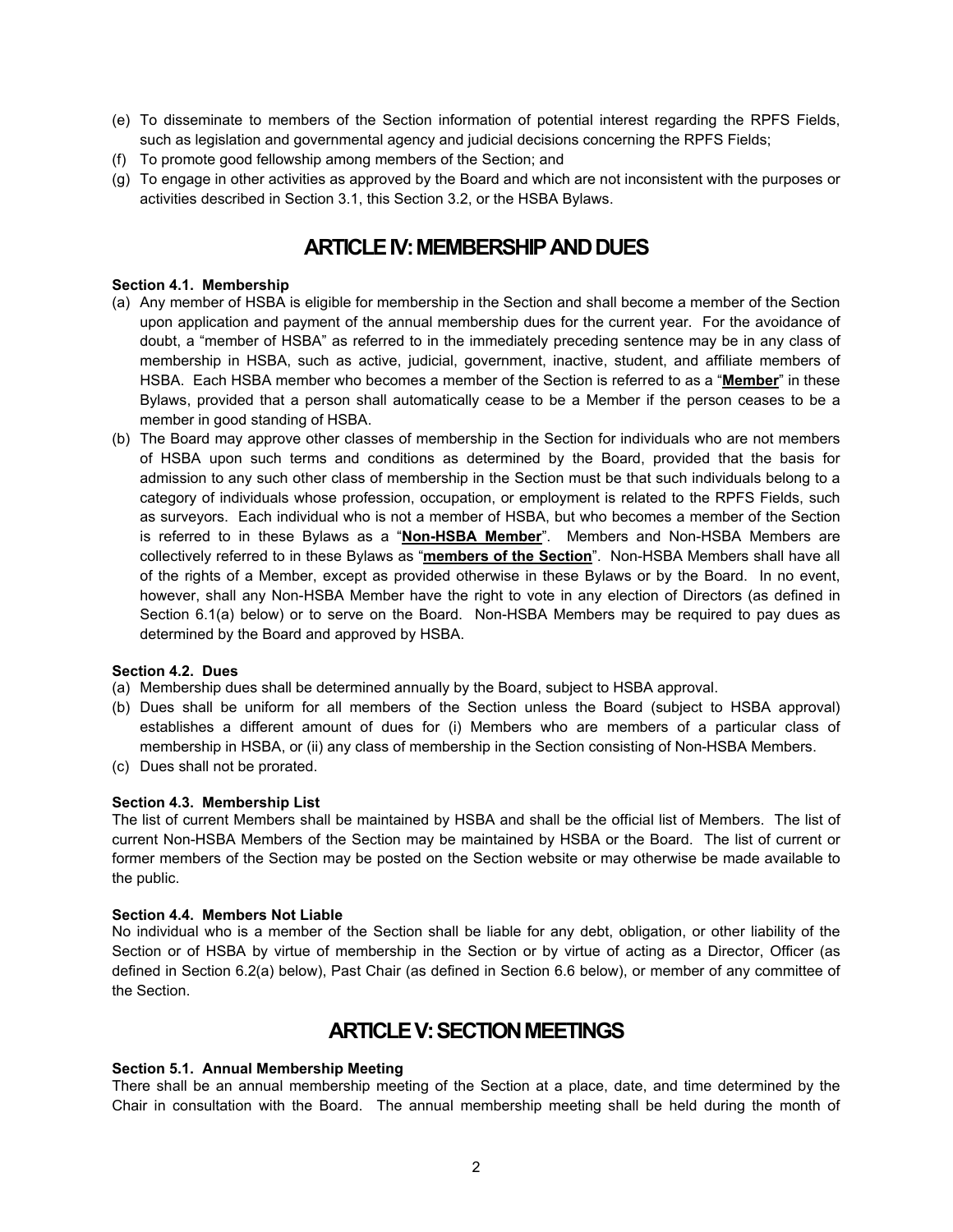- (e) To disseminate to members of the Section information of potential interest regarding the RPFS Fields, such as legislation and governmental agency and judicial decisions concerning the RPFS Fields;
- (f) To promote good fellowship among members of the Section; and
- (g) To engage in other activities as approved by the Board and which are not inconsistent with the purposes or activities described in Section 3.1, this Section 3.2, or the HSBA Bylaws.

# **ARTICLE IV: MEMBERSHIP AND DUES**

### **Section 4.1. Membership**

- (a) Any member of HSBA is eligible for membership in the Section and shall become a member of the Section upon application and payment of the annual membership dues for the current year. For the avoidance of doubt, a "member of HSBA" as referred to in the immediately preceding sentence may be in any class of membership in HSBA, such as active, judicial, government, inactive, student, and affiliate members of HSBA. Each HSBA member who becomes a member of the Section is referred to as a "**Member**" in these Bylaws, provided that a person shall automatically cease to be a Member if the person ceases to be a member in good standing of HSBA.
- (b) The Board may approve other classes of membership in the Section for individuals who are not members of HSBA upon such terms and conditions as determined by the Board, provided that the basis for admission to any such other class of membership in the Section must be that such individuals belong to a category of individuals whose profession, occupation, or employment is related to the RPFS Fields, such as surveyors. Each individual who is not a member of HSBA, but who becomes a member of the Section is referred to in these Bylaws as a "**Non-HSBA Member**". Members and Non-HSBA Members are collectively referred to in these Bylaws as "**members of the Section**". Non-HSBA Members shall have all of the rights of a Member, except as provided otherwise in these Bylaws or by the Board. In no event, however, shall any Non-HSBA Member have the right to vote in any election of Directors (as defined in Section 6.1(a) below) or to serve on the Board. Non-HSBA Members may be required to pay dues as determined by the Board and approved by HSBA.

#### **Section 4.2. Dues**

- (a) Membership dues shall be determined annually by the Board, subject to HSBA approval.
- (b) Dues shall be uniform for all members of the Section unless the Board (subject to HSBA approval) establishes a different amount of dues for (i) Members who are members of a particular class of membership in HSBA, or (ii) any class of membership in the Section consisting of Non-HSBA Members.
- (c) Dues shall not be prorated.

#### **Section 4.3. Membership List**

The list of current Members shall be maintained by HSBA and shall be the official list of Members. The list of current Non-HSBA Members of the Section may be maintained by HSBA or the Board. The list of current or former members of the Section may be posted on the Section website or may otherwise be made available to the public.

#### **Section 4.4. Members Not Liable**

No individual who is a member of the Section shall be liable for any debt, obligation, or other liability of the Section or of HSBA by virtue of membership in the Section or by virtue of acting as a Director, Officer (as defined in Section 6.2(a) below), Past Chair (as defined in Section 6.6 below), or member of any committee of the Section.

# **ARTICLE V: SECTION MEETINGS**

## **Section 5.1. Annual Membership Meeting**

There shall be an annual membership meeting of the Section at a place, date, and time determined by the Chair in consultation with the Board. The annual membership meeting shall be held during the month of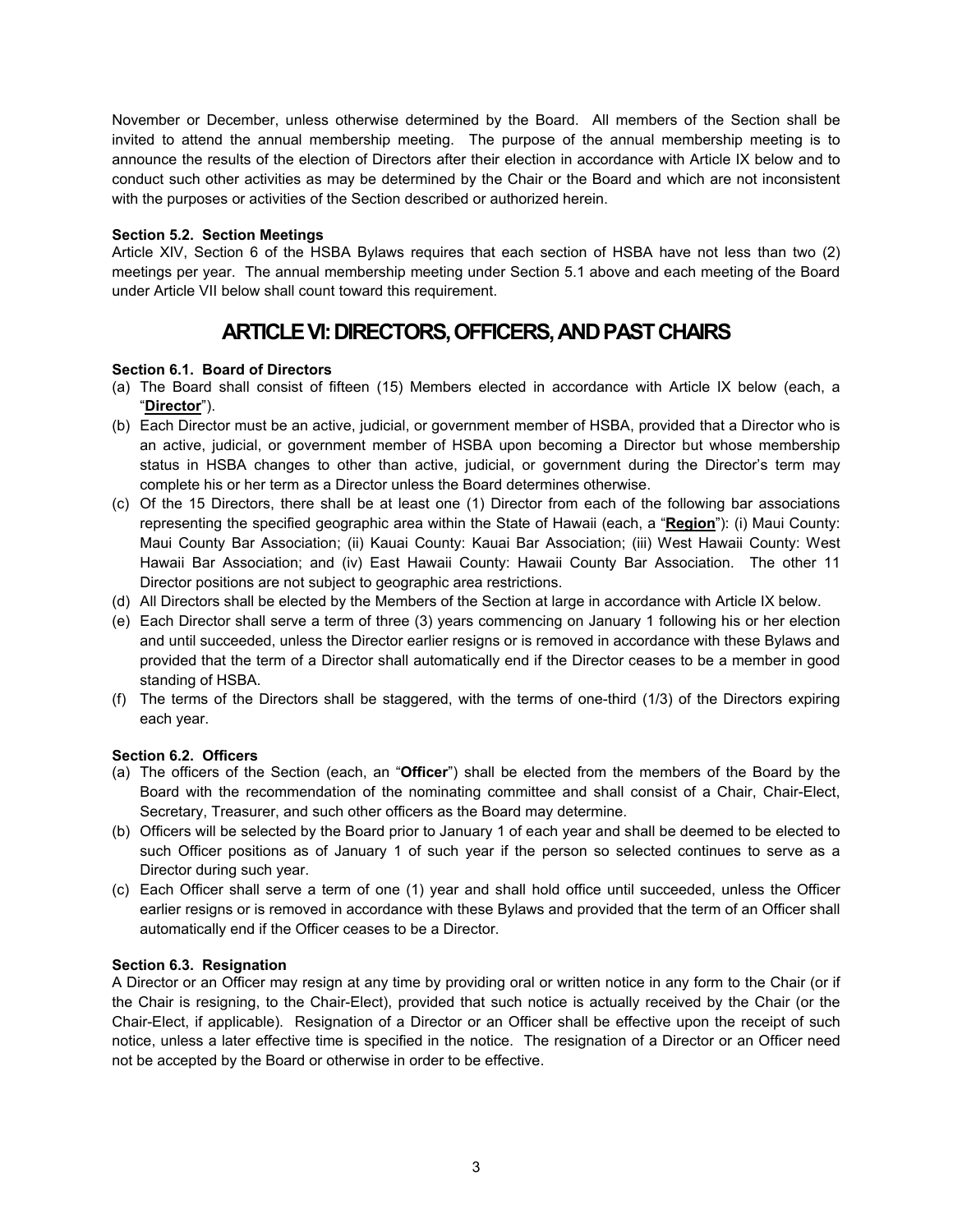November or December, unless otherwise determined by the Board. All members of the Section shall be invited to attend the annual membership meeting. The purpose of the annual membership meeting is to announce the results of the election of Directors after their election in accordance with Article IX below and to conduct such other activities as may be determined by the Chair or the Board and which are not inconsistent with the purposes or activities of the Section described or authorized herein.

## **Section 5.2. Section Meetings**

Article XIV, Section 6 of the HSBA Bylaws requires that each section of HSBA have not less than two (2) meetings per year. The annual membership meeting under Section 5.1 above and each meeting of the Board under Article VII below shall count toward this requirement.

# **ARTICLE VI: DIRECTORS, OFFICERS, AND PAST CHAIRS**

# **Section 6.1. Board of Directors**

- (a) The Board shall consist of fifteen (15) Members elected in accordance with Article IX below (each, a "**Director**").
- (b) Each Director must be an active, judicial, or government member of HSBA, provided that a Director who is an active, judicial, or government member of HSBA upon becoming a Director but whose membership status in HSBA changes to other than active, judicial, or government during the Director's term may complete his or her term as a Director unless the Board determines otherwise.
- (c) Of the 15 Directors, there shall be at least one (1) Director from each of the following bar associations representing the specified geographic area within the State of Hawaii (each, a "**Region**"): (i) Maui County: Maui County Bar Association; (ii) Kauai County: Kauai Bar Association; (iii) West Hawaii County: West Hawaii Bar Association; and (iv) East Hawaii County: Hawaii County Bar Association. The other 11 Director positions are not subject to geographic area restrictions.
- (d) All Directors shall be elected by the Members of the Section at large in accordance with Article IX below.
- (e) Each Director shall serve a term of three (3) years commencing on January 1 following his or her election and until succeeded, unless the Director earlier resigns or is removed in accordance with these Bylaws and provided that the term of a Director shall automatically end if the Director ceases to be a member in good standing of HSBA.
- (f) The terms of the Directors shall be staggered, with the terms of one-third (1/3) of the Directors expiring each year.

## **Section 6.2. Officers**

- (a) The officers of the Section (each, an "**Officer**") shall be elected from the members of the Board by the Board with the recommendation of the nominating committee and shall consist of a Chair, Chair-Elect, Secretary, Treasurer, and such other officers as the Board may determine.
- (b) Officers will be selected by the Board prior to January 1 of each year and shall be deemed to be elected to such Officer positions as of January 1 of such year if the person so selected continues to serve as a Director during such year.
- (c) Each Officer shall serve a term of one (1) year and shall hold office until succeeded, unless the Officer earlier resigns or is removed in accordance with these Bylaws and provided that the term of an Officer shall automatically end if the Officer ceases to be a Director.

## **Section 6.3. Resignation**

A Director or an Officer may resign at any time by providing oral or written notice in any form to the Chair (or if the Chair is resigning, to the Chair-Elect), provided that such notice is actually received by the Chair (or the Chair-Elect, if applicable). Resignation of a Director or an Officer shall be effective upon the receipt of such notice, unless a later effective time is specified in the notice. The resignation of a Director or an Officer need not be accepted by the Board or otherwise in order to be effective.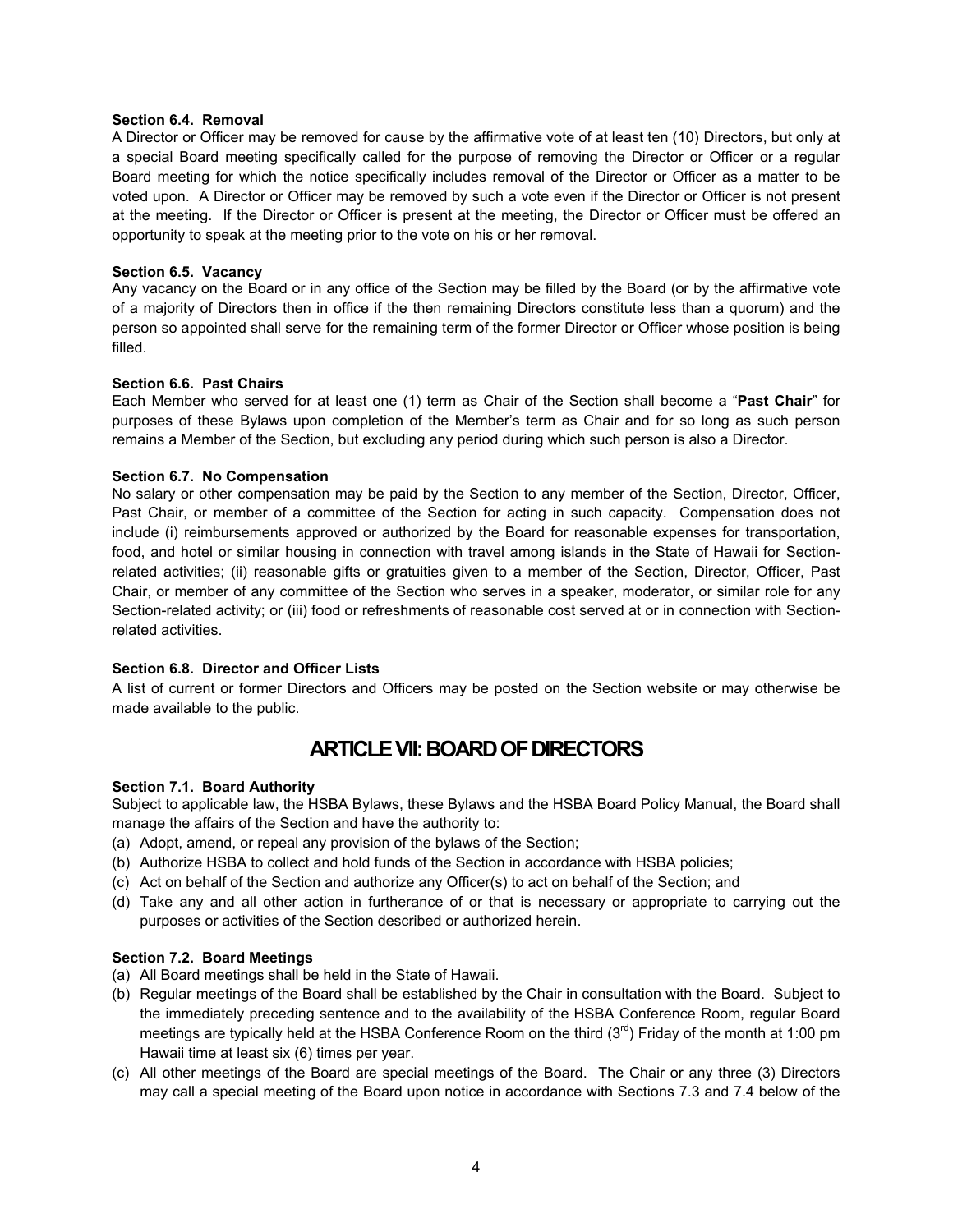#### **Section 6.4. Removal**

A Director or Officer may be removed for cause by the affirmative vote of at least ten (10) Directors, but only at a special Board meeting specifically called for the purpose of removing the Director or Officer or a regular Board meeting for which the notice specifically includes removal of the Director or Officer as a matter to be voted upon. A Director or Officer may be removed by such a vote even if the Director or Officer is not present at the meeting. If the Director or Officer is present at the meeting, the Director or Officer must be offered an opportunity to speak at the meeting prior to the vote on his or her removal.

### **Section 6.5. Vacancy**

Any vacancy on the Board or in any office of the Section may be filled by the Board (or by the affirmative vote of a majority of Directors then in office if the then remaining Directors constitute less than a quorum) and the person so appointed shall serve for the remaining term of the former Director or Officer whose position is being filled.

### **Section 6.6. Past Chairs**

Each Member who served for at least one (1) term as Chair of the Section shall become a "**Past Chair**" for purposes of these Bylaws upon completion of the Member's term as Chair and for so long as such person remains a Member of the Section, but excluding any period during which such person is also a Director.

### **Section 6.7. No Compensation**

No salary or other compensation may be paid by the Section to any member of the Section, Director, Officer, Past Chair, or member of a committee of the Section for acting in such capacity. Compensation does not include (i) reimbursements approved or authorized by the Board for reasonable expenses for transportation, food, and hotel or similar housing in connection with travel among islands in the State of Hawaii for Sectionrelated activities; (ii) reasonable gifts or gratuities given to a member of the Section, Director, Officer, Past Chair, or member of any committee of the Section who serves in a speaker, moderator, or similar role for any Section-related activity; or (iii) food or refreshments of reasonable cost served at or in connection with Sectionrelated activities.

#### **Section 6.8. Director and Officer Lists**

A list of current or former Directors and Officers may be posted on the Section website or may otherwise be made available to the public.

# **ARTICLE VII: BOARD OF DIRECTORS**

## **Section 7.1. Board Authority**

Subject to applicable law, the HSBA Bylaws, these Bylaws and the HSBA Board Policy Manual, the Board shall manage the affairs of the Section and have the authority to:

- (a) Adopt, amend, or repeal any provision of the bylaws of the Section;
- (b) Authorize HSBA to collect and hold funds of the Section in accordance with HSBA policies;
- (c) Act on behalf of the Section and authorize any Officer(s) to act on behalf of the Section; and
- (d) Take any and all other action in furtherance of or that is necessary or appropriate to carrying out the purposes or activities of the Section described or authorized herein.

#### **Section 7.2. Board Meetings**

- (a) All Board meetings shall be held in the State of Hawaii.
- (b) Regular meetings of the Board shall be established by the Chair in consultation with the Board. Subject to the immediately preceding sentence and to the availability of the HSBA Conference Room, regular Board meetings are typically held at the HSBA Conference Room on the third  $(3<sup>rd</sup>)$  Friday of the month at 1:00 pm Hawaii time at least six (6) times per year.
- (c) All other meetings of the Board are special meetings of the Board. The Chair or any three (3) Directors may call a special meeting of the Board upon notice in accordance with Sections 7.3 and 7.4 below of the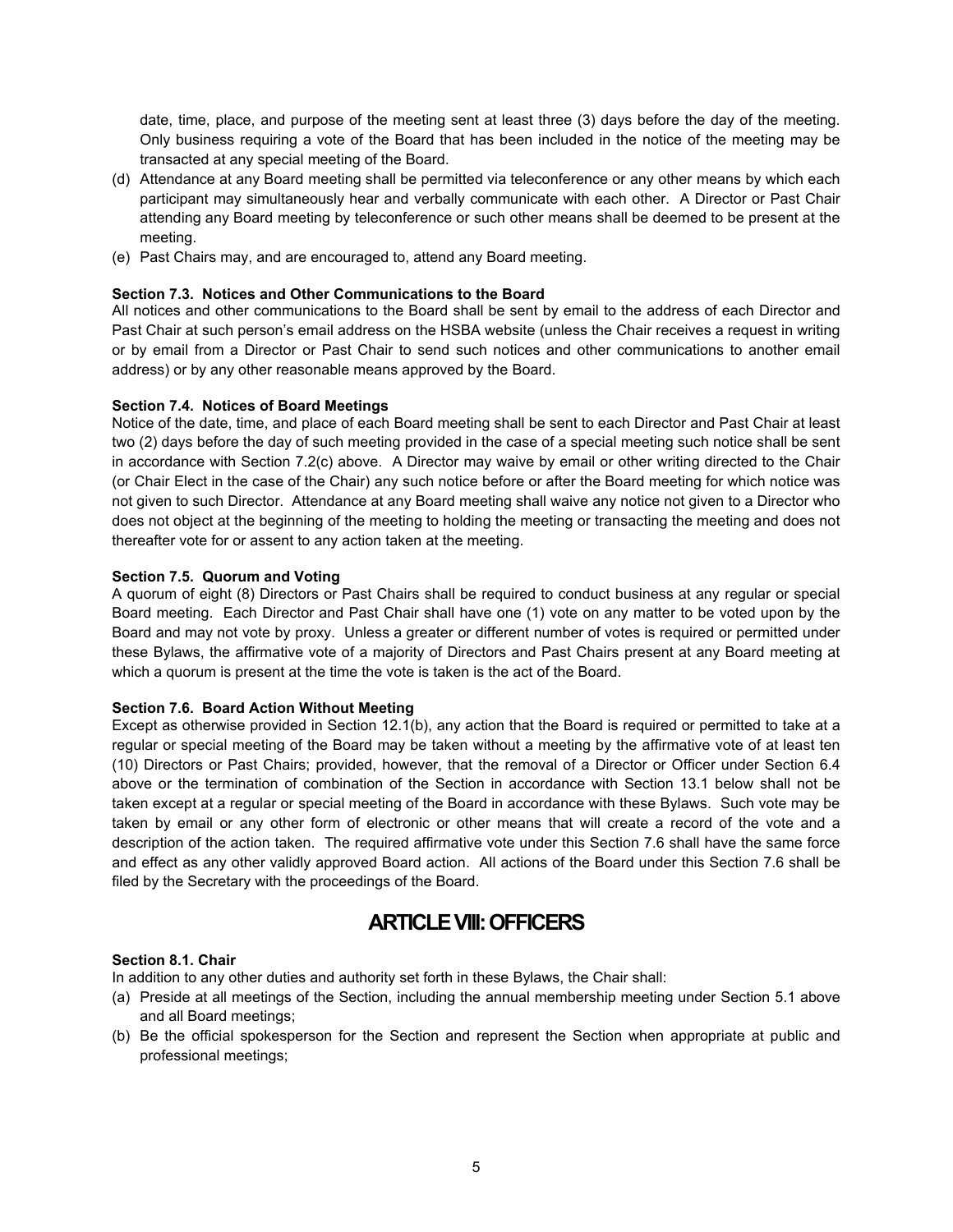date, time, place, and purpose of the meeting sent at least three (3) days before the day of the meeting. Only business requiring a vote of the Board that has been included in the notice of the meeting may be transacted at any special meeting of the Board.

- (d) Attendance at any Board meeting shall be permitted via teleconference or any other means by which each participant may simultaneously hear and verbally communicate with each other. A Director or Past Chair attending any Board meeting by teleconference or such other means shall be deemed to be present at the meeting.
- (e) Past Chairs may, and are encouraged to, attend any Board meeting.

# **Section 7.3. Notices and Other Communications to the Board**

All notices and other communications to the Board shall be sent by email to the address of each Director and Past Chair at such person's email address on the HSBA website (unless the Chair receives a request in writing or by email from a Director or Past Chair to send such notices and other communications to another email address) or by any other reasonable means approved by the Board.

# **Section 7.4. Notices of Board Meetings**

Notice of the date, time, and place of each Board meeting shall be sent to each Director and Past Chair at least two (2) days before the day of such meeting provided in the case of a special meeting such notice shall be sent in accordance with Section 7.2(c) above. A Director may waive by email or other writing directed to the Chair (or Chair Elect in the case of the Chair) any such notice before or after the Board meeting for which notice was not given to such Director. Attendance at any Board meeting shall waive any notice not given to a Director who does not object at the beginning of the meeting to holding the meeting or transacting the meeting and does not thereafter vote for or assent to any action taken at the meeting.

# **Section 7.5. Quorum and Voting**

A quorum of eight (8) Directors or Past Chairs shall be required to conduct business at any regular or special Board meeting. Each Director and Past Chair shall have one (1) vote on any matter to be voted upon by the Board and may not vote by proxy. Unless a greater or different number of votes is required or permitted under these Bylaws, the affirmative vote of a majority of Directors and Past Chairs present at any Board meeting at which a quorum is present at the time the vote is taken is the act of the Board.

## **Section 7.6. Board Action Without Meeting**

Except as otherwise provided in Section 12.1(b), any action that the Board is required or permitted to take at a regular or special meeting of the Board may be taken without a meeting by the affirmative vote of at least ten (10) Directors or Past Chairs; provided, however, that the removal of a Director or Officer under Section 6.4 above or the termination of combination of the Section in accordance with Section 13.1 below shall not be taken except at a regular or special meeting of the Board in accordance with these Bylaws. Such vote may be taken by email or any other form of electronic or other means that will create a record of the vote and a description of the action taken. The required affirmative vote under this Section 7.6 shall have the same force and effect as any other validly approved Board action. All actions of the Board under this Section 7.6 shall be filed by the Secretary with the proceedings of the Board.

# **ARTICLE VIII:OFFICERS**

## **Section 8.1. Chair**

In addition to any other duties and authority set forth in these Bylaws, the Chair shall:

- (a) Preside at all meetings of the Section, including the annual membership meeting under Section 5.1 above and all Board meetings;
- (b) Be the official spokesperson for the Section and represent the Section when appropriate at public and professional meetings;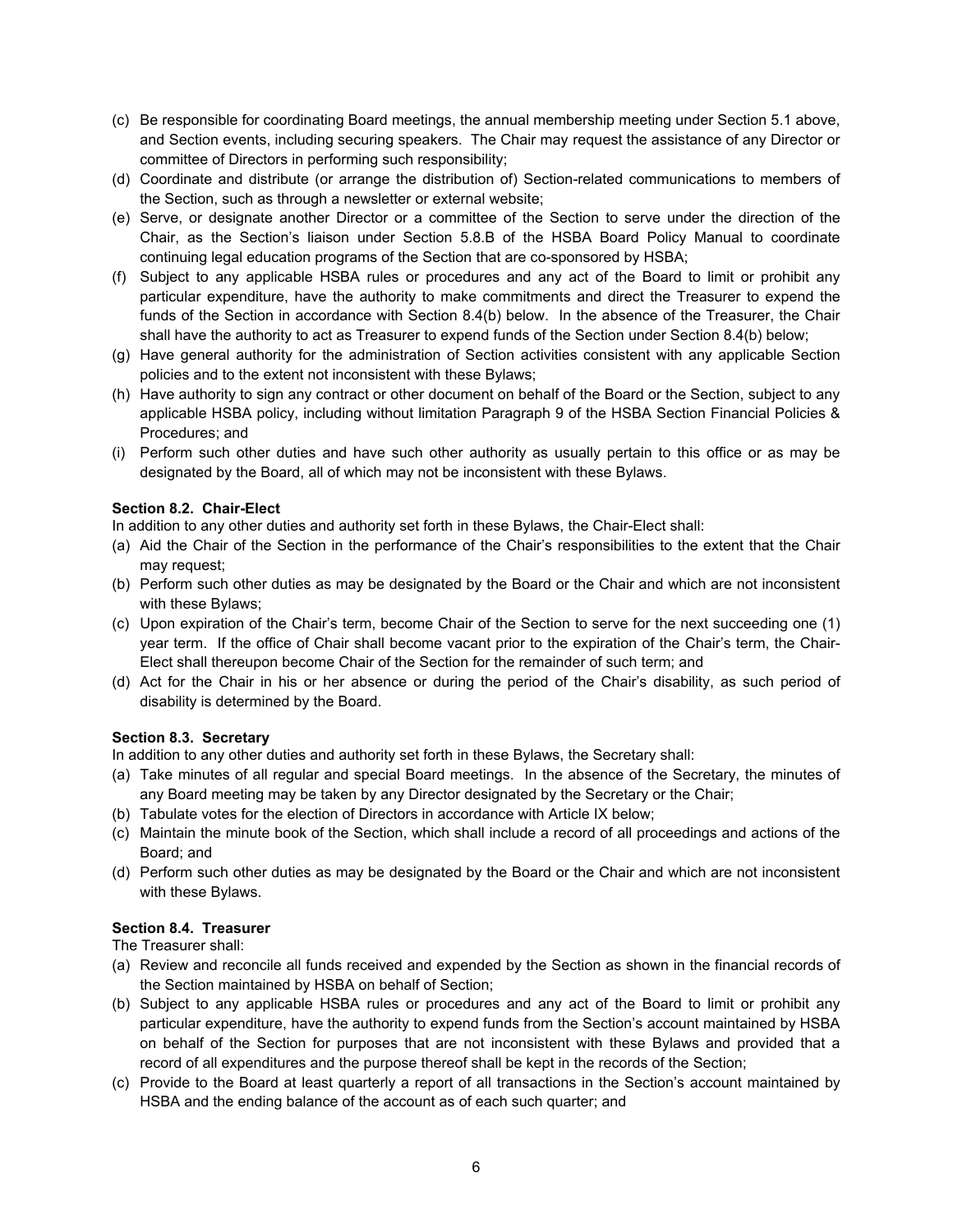- (c) Be responsible for coordinating Board meetings, the annual membership meeting under Section 5.1 above, and Section events, including securing speakers. The Chair may request the assistance of any Director or committee of Directors in performing such responsibility;
- (d) Coordinate and distribute (or arrange the distribution of) Section-related communications to members of the Section, such as through a newsletter or external website;
- (e) Serve, or designate another Director or a committee of the Section to serve under the direction of the Chair, as the Section's liaison under Section 5.8.B of the HSBA Board Policy Manual to coordinate continuing legal education programs of the Section that are co-sponsored by HSBA;
- (f) Subject to any applicable HSBA rules or procedures and any act of the Board to limit or prohibit any particular expenditure, have the authority to make commitments and direct the Treasurer to expend the funds of the Section in accordance with Section 8.4(b) below. In the absence of the Treasurer, the Chair shall have the authority to act as Treasurer to expend funds of the Section under Section 8.4(b) below;
- (g) Have general authority for the administration of Section activities consistent with any applicable Section policies and to the extent not inconsistent with these Bylaws;
- (h) Have authority to sign any contract or other document on behalf of the Board or the Section, subject to any applicable HSBA policy, including without limitation Paragraph 9 of the HSBA Section Financial Policies & Procedures; and
- (i) Perform such other duties and have such other authority as usually pertain to this office or as may be designated by the Board, all of which may not be inconsistent with these Bylaws.

# **Section 8.2. Chair-Elect**

In addition to any other duties and authority set forth in these Bylaws, the Chair-Elect shall:

- (a) Aid the Chair of the Section in the performance of the Chair's responsibilities to the extent that the Chair may request;
- (b) Perform such other duties as may be designated by the Board or the Chair and which are not inconsistent with these Bylaws;
- (c) Upon expiration of the Chair's term, become Chair of the Section to serve for the next succeeding one (1) year term. If the office of Chair shall become vacant prior to the expiration of the Chair's term, the Chair-Elect shall thereupon become Chair of the Section for the remainder of such term; and
- (d) Act for the Chair in his or her absence or during the period of the Chair's disability, as such period of disability is determined by the Board.

## **Section 8.3. Secretary**

In addition to any other duties and authority set forth in these Bylaws, the Secretary shall:

- (a) Take minutes of all regular and special Board meetings. In the absence of the Secretary, the minutes of any Board meeting may be taken by any Director designated by the Secretary or the Chair;
- (b) Tabulate votes for the election of Directors in accordance with Article IX below;
- (c) Maintain the minute book of the Section, which shall include a record of all proceedings and actions of the Board; and
- (d) Perform such other duties as may be designated by the Board or the Chair and which are not inconsistent with these Bylaws.

# **Section 8.4. Treasurer**

The Treasurer shall:

- (a) Review and reconcile all funds received and expended by the Section as shown in the financial records of the Section maintained by HSBA on behalf of Section;
- (b) Subject to any applicable HSBA rules or procedures and any act of the Board to limit or prohibit any particular expenditure, have the authority to expend funds from the Section's account maintained by HSBA on behalf of the Section for purposes that are not inconsistent with these Bylaws and provided that a record of all expenditures and the purpose thereof shall be kept in the records of the Section;
- (c) Provide to the Board at least quarterly a report of all transactions in the Section's account maintained by HSBA and the ending balance of the account as of each such quarter; and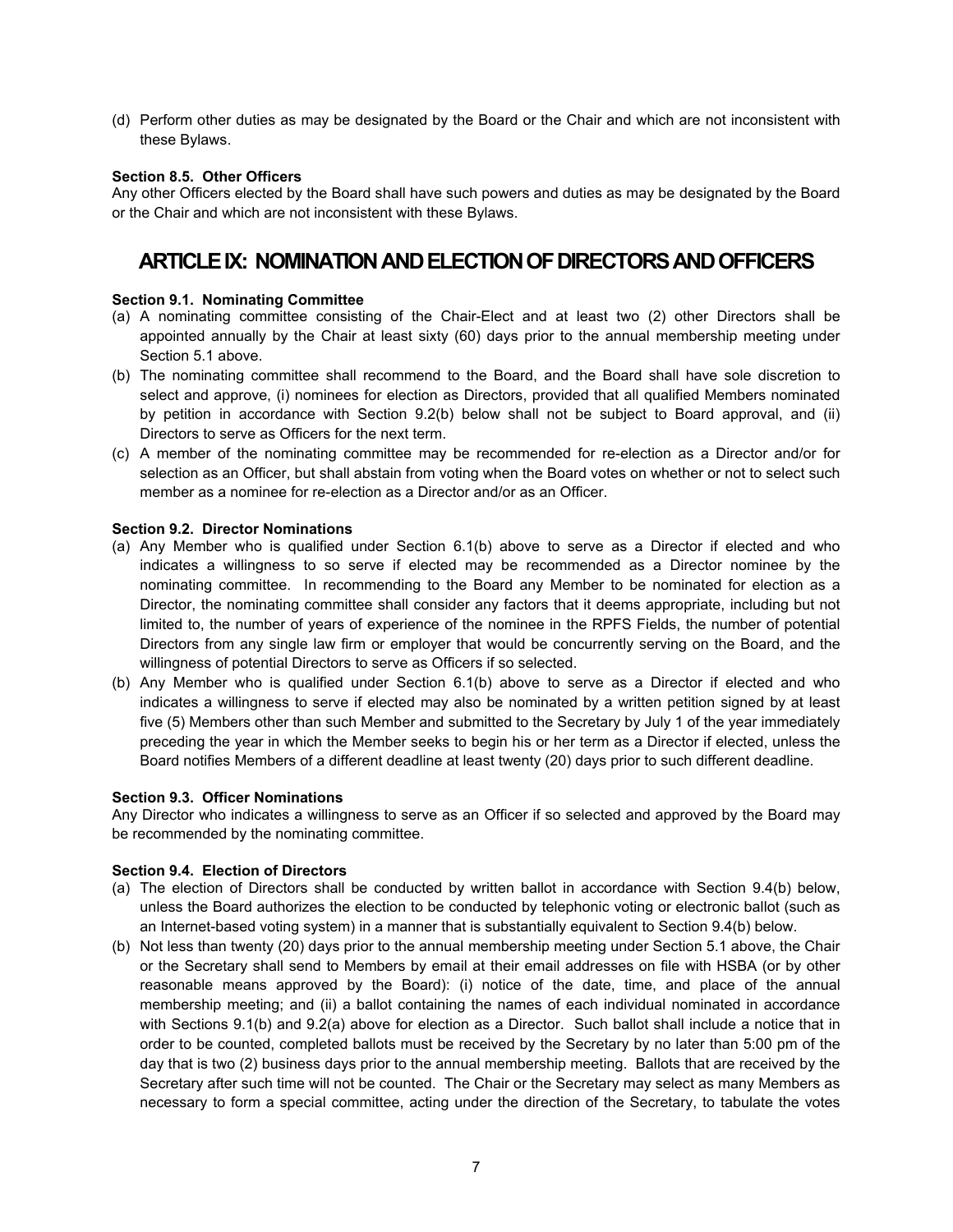(d) Perform other duties as may be designated by the Board or the Chair and which are not inconsistent with these Bylaws.

### **Section 8.5. Other Officers**

Any other Officers elected by the Board shall have such powers and duties as may be designated by the Board or the Chair and which are not inconsistent with these Bylaws.

# **ARTICLE IX: NOMINATION AND ELECTION OF DIRECTORS AND OFFICERS**

### **Section 9.1. Nominating Committee**

- (a) A nominating committee consisting of the Chair-Elect and at least two (2) other Directors shall be appointed annually by the Chair at least sixty (60) days prior to the annual membership meeting under Section 5.1 above.
- (b) The nominating committee shall recommend to the Board, and the Board shall have sole discretion to select and approve, (i) nominees for election as Directors, provided that all qualified Members nominated by petition in accordance with Section 9.2(b) below shall not be subject to Board approval, and (ii) Directors to serve as Officers for the next term.
- (c) A member of the nominating committee may be recommended for re-election as a Director and/or for selection as an Officer, but shall abstain from voting when the Board votes on whether or not to select such member as a nominee for re-election as a Director and/or as an Officer.

#### **Section 9.2. Director Nominations**

- (a) Any Member who is qualified under Section 6.1(b) above to serve as a Director if elected and who indicates a willingness to so serve if elected may be recommended as a Director nominee by the nominating committee. In recommending to the Board any Member to be nominated for election as a Director, the nominating committee shall consider any factors that it deems appropriate, including but not limited to, the number of years of experience of the nominee in the RPFS Fields, the number of potential Directors from any single law firm or employer that would be concurrently serving on the Board, and the willingness of potential Directors to serve as Officers if so selected.
- (b) Any Member who is qualified under Section 6.1(b) above to serve as a Director if elected and who indicates a willingness to serve if elected may also be nominated by a written petition signed by at least five (5) Members other than such Member and submitted to the Secretary by July 1 of the year immediately preceding the year in which the Member seeks to begin his or her term as a Director if elected, unless the Board notifies Members of a different deadline at least twenty (20) days prior to such different deadline.

#### **Section 9.3. Officer Nominations**

Any Director who indicates a willingness to serve as an Officer if so selected and approved by the Board may be recommended by the nominating committee.

#### **Section 9.4. Election of Directors**

- (a) The election of Directors shall be conducted by written ballot in accordance with Section 9.4(b) below, unless the Board authorizes the election to be conducted by telephonic voting or electronic ballot (such as an Internet-based voting system) in a manner that is substantially equivalent to Section 9.4(b) below.
- (b) Not less than twenty (20) days prior to the annual membership meeting under Section 5.1 above, the Chair or the Secretary shall send to Members by email at their email addresses on file with HSBA (or by other reasonable means approved by the Board): (i) notice of the date, time, and place of the annual membership meeting; and (ii) a ballot containing the names of each individual nominated in accordance with Sections 9.1(b) and 9.2(a) above for election as a Director. Such ballot shall include a notice that in order to be counted, completed ballots must be received by the Secretary by no later than 5:00 pm of the day that is two (2) business days prior to the annual membership meeting. Ballots that are received by the Secretary after such time will not be counted. The Chair or the Secretary may select as many Members as necessary to form a special committee, acting under the direction of the Secretary, to tabulate the votes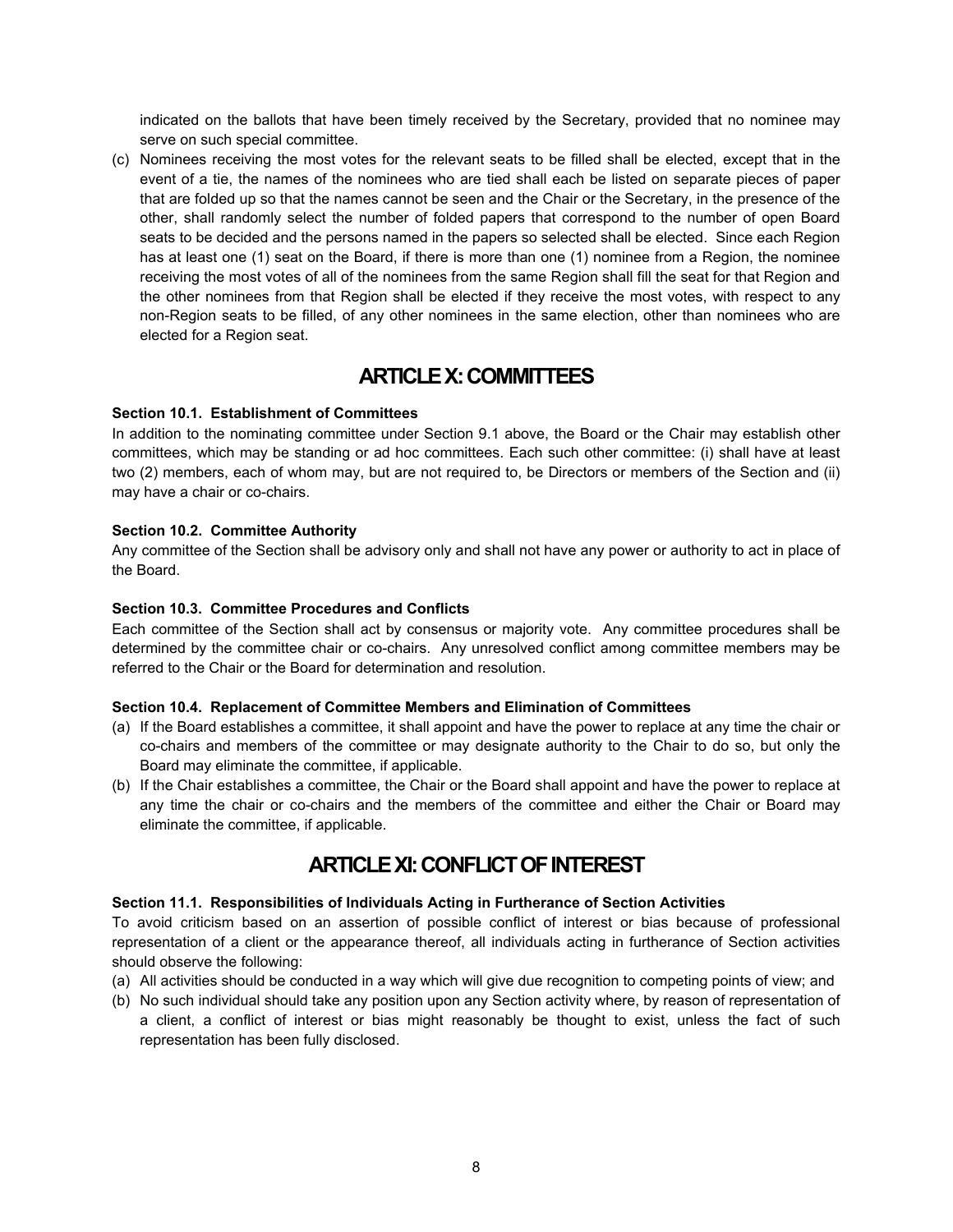indicated on the ballots that have been timely received by the Secretary, provided that no nominee may serve on such special committee.

(c) Nominees receiving the most votes for the relevant seats to be filled shall be elected, except that in the event of a tie, the names of the nominees who are tied shall each be listed on separate pieces of paper that are folded up so that the names cannot be seen and the Chair or the Secretary, in the presence of the other, shall randomly select the number of folded papers that correspond to the number of open Board seats to be decided and the persons named in the papers so selected shall be elected. Since each Region has at least one (1) seat on the Board, if there is more than one (1) nominee from a Region, the nominee receiving the most votes of all of the nominees from the same Region shall fill the seat for that Region and the other nominees from that Region shall be elected if they receive the most votes, with respect to any non-Region seats to be filled, of any other nominees in the same election, other than nominees who are elected for a Region seat.

# **ARTICLE X:COMMITTEES**

# **Section 10.1. Establishment of Committees**

In addition to the nominating committee under Section 9.1 above, the Board or the Chair may establish other committees, which may be standing or ad hoc committees. Each such other committee: (i) shall have at least two (2) members, each of whom may, but are not required to, be Directors or members of the Section and (ii) may have a chair or co-chairs.

# **Section 10.2. Committee Authority**

Any committee of the Section shall be advisory only and shall not have any power or authority to act in place of the Board.

# **Section 10.3. Committee Procedures and Conflicts**

Each committee of the Section shall act by consensus or majority vote. Any committee procedures shall be determined by the committee chair or co-chairs. Any unresolved conflict among committee members may be referred to the Chair or the Board for determination and resolution.

## **Section 10.4. Replacement of Committee Members and Elimination of Committees**

- (a) If the Board establishes a committee, it shall appoint and have the power to replace at any time the chair or co-chairs and members of the committee or may designate authority to the Chair to do so, but only the Board may eliminate the committee, if applicable.
- (b) If the Chair establishes a committee, the Chair or the Board shall appoint and have the power to replace at any time the chair or co-chairs and the members of the committee and either the Chair or Board may eliminate the committee, if applicable.

# **ARTICLE XI:CONFLICT OF INTEREST**

## **Section 11.1. Responsibilities of Individuals Acting in Furtherance of Section Activities**

To avoid criticism based on an assertion of possible conflict of interest or bias because of professional representation of a client or the appearance thereof, all individuals acting in furtherance of Section activities should observe the following:

- (a) All activities should be conducted in a way which will give due recognition to competing points of view; and
- (b) No such individual should take any position upon any Section activity where, by reason of representation of a client, a conflict of interest or bias might reasonably be thought to exist, unless the fact of such representation has been fully disclosed.